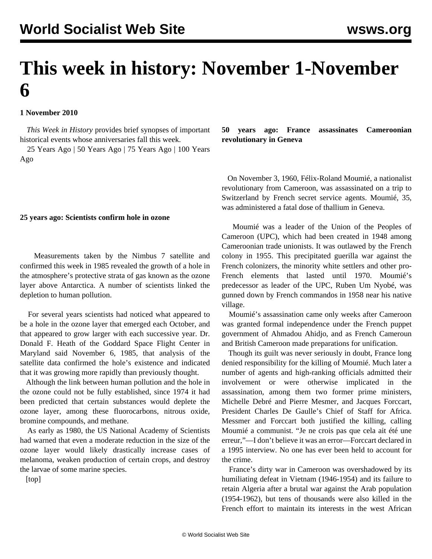# **This week in history: November 1-November 6**

## **1 November 2010**

 *This Week in History* provides brief synopses of important historical events whose anniversaries fall this week.

 25 Years Ago | 50 Years Ago | 75 Years Ago | 100 Years Ago

#### **25 years ago: Scientists confirm hole in ozone**

 Measurements taken by the Nimbus 7 satellite and confirmed this week in 1985 revealed the growth of a hole in the atmosphere's protective strata of gas known as the ozone layer above Antarctica. A number of scientists linked the depletion to human pollution.

 For several years scientists had noticed what appeared to be a hole in the ozone layer that emerged each October, and that appeared to grow larger with each successive year. Dr. Donald F. Heath of the Goddard Space Flight Center in Maryland said November 6, 1985, that analysis of the satellite data confirmed the hole's existence and indicated that it was growing more rapidly than previously thought.

 Although the link between human pollution and the hole in the ozone could not be fully established, since 1974 it had been predicted that certain substances would deplete the ozone layer, among these fluorocarbons, nitrous oxide, bromine compounds, and methane.

 As early as 1980, the US National Academy of Scientists had warned that even a moderate reduction in the size of the ozone layer would likely drastically increase cases of melanoma, weaken production of certain crops, and destroy the larvae of some marine species.

[top]

**50 years ago: France assassinates Cameroonian revolutionary in Geneva**

 On November 3, 1960, Félix-Roland Moumié, a nationalist revolutionary from Cameroon, was assassinated on a trip to Switzerland by French secret service agents. Moumié, 35, was administered a fatal dose of thallium in Geneva.

 Moumié was a leader of the Union of the Peoples of Cameroon (UPC), which had been created in 1948 among Cameroonian trade unionists. It was outlawed by the French colony in 1955. This precipitated guerilla war against the French colonizers, the minority white settlers and other pro-French elements that lasted until 1970. Moumié's predecessor as leader of the UPC, Ruben Um Nyobé, was gunned down by French commandos in 1958 near his native village.

 Moumié's assassination came only weeks after Cameroon was granted formal independence under the French puppet government of Ahmadou Ahidjo, and as French Cameroun and British Cameroon made preparations for unification.

 Though its guilt was never seriously in doubt, France long denied responsibility for the killing of Moumié. Much later a number of agents and high-ranking officials admitted their involvement or were otherwise implicated in the assassination, among them two former prime ministers, Michelle Debré and Pierre Mesmer, and Jacques Forccart, President Charles De Gaulle's Chief of Staff for Africa. Messmer and Forccart both justified the killing, calling Moumié a communist. "Je ne crois pas que cela ait été une erreur,"—I don't believe it was an error—Forccart declared in a 1995 interview. No one has ever been held to account for the crime.

 France's dirty war in Cameroon was overshadowed by its humiliating defeat in Vietnam (1946-1954) and its failure to retain Algeria after a brutal war against the Arab population (1954-1962), but tens of thousands were also killed in the French effort to maintain its interests in the west African